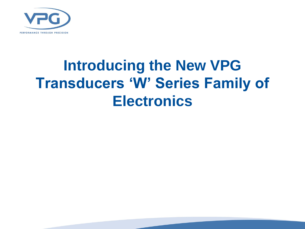

## **Introducing the New VPG Transducers 'W' Series Family of Electronics**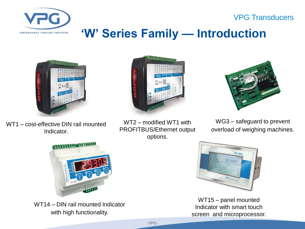VPG Transducers



### **'W' Series Family — Introduction**



WT1 – cost-effective DIN rail mounted Indicator.





WT2 – modified WT1 with PROFITBUS/Ethernet output options.

WG3 – safeguard to prevent overload of weighing machines.



WT14 – DIN rail mounted Indicator with high functionality.



WT15 – panel mounted Indicator with smart touch screen and microprocessor.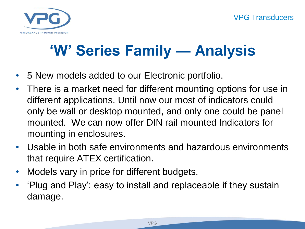

# **'W' Series Family — Analysis**

- 5 New models added to our Electronic portfolio.
- There is a market need for different mounting options for use in different applications. Until now our most of indicators could only be wall or desktop mounted, and only one could be panel mounted. We can now offer DIN rail mounted Indicators for mounting in enclosures.
- Usable in both safe environments and hazardous environments that require ATEX certification.
- Models vary in price for different budgets.
- 'Plug and Play': easy to install and replaceable if they sustain damage.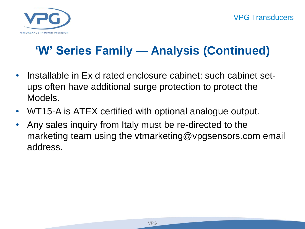

### **'W' Series Family — Analysis (Continued)**

- Installable in Ex d rated enclosure cabinet: such cabinet setups often have additional surge protection to protect the Models.
- WT15-A is ATEX certified with optional analogue output.
- Any sales inquiry from Italy must be re-directed to the marketing team using the vtmarketing@vpgsensors.com email address.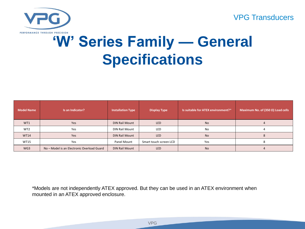#### VPG Transducers



## **'W' Series Family — General Specifications**

| <b>Model Name</b> | Is an Indicator?                           | <b>Installation Type</b> | <b>Display Type</b>    | Is suitable for ATEX environment?* | Maximum No. of (350 $\Omega$ ) Load cells |  |  |
|-------------------|--------------------------------------------|--------------------------|------------------------|------------------------------------|-------------------------------------------|--|--|
| WT1               | Yes                                        | DIN Rail Mount           | <b>LED</b>             | No                                 |                                           |  |  |
| WT <sub>2</sub>   | Yes                                        | DIN Rail Mount           | LED                    | No                                 |                                           |  |  |
| <b>WT14</b>       | Yes                                        | <b>DIN Rail Mount</b>    | LED                    | <b>No</b>                          |                                           |  |  |
| <b>WT15</b>       | Yes                                        | Panel Mount              | Smart touch screen LCD | Yes                                |                                           |  |  |
| WG3               | No - Model is an Electronic Overload Guard | <b>DIN Rail Mount</b>    | <b>LED</b>             | No                                 |                                           |  |  |

\*Models are not independently ATEX approved. But they can be used in an ATEX environment when mounted in an ATEX approved enclosure.